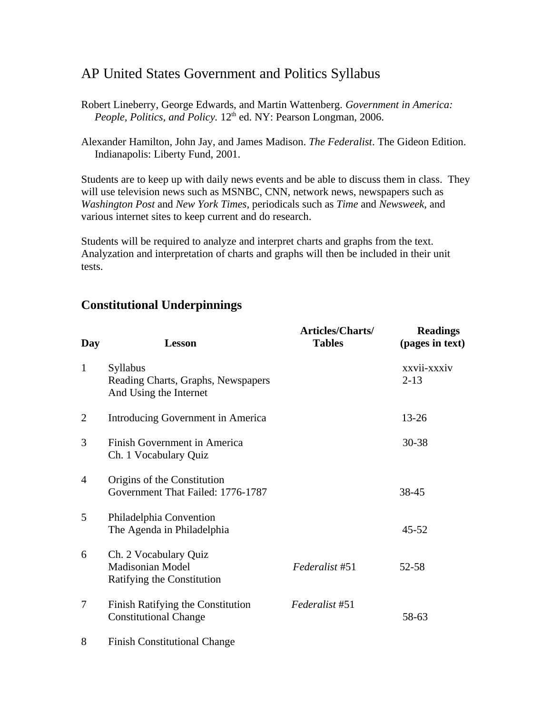## AP United States Government and Politics Syllabus

- Robert Lineberry, George Edwards, and Martin Wattenberg. *Government in America: People, Politics, and Policy.* 12<sup>th</sup> ed. NY: Pearson Longman, 2006.
- Alexander Hamilton, John Jay, and James Madison. *The Federalist*. The Gideon Edition. Indianapolis: Liberty Fund, 2001.

Students are to keep up with daily news events and be able to discuss them in class. They will use television news such as MSNBC, CNN, network news, newspapers such as *Washington Post* and *New York Times*, periodicals such as *Time* and *Newsweek,* and various internet sites to keep current and do research.

Students will be required to analyze and interpret charts and graphs from the text. Analyzation and interpretation of charts and graphs will then be included in their unit tests.

| Day            | <b>Lesson</b>                                                            | Articles/Charts/<br><b>Tables</b> | <b>Readings</b><br>(pages in text) |
|----------------|--------------------------------------------------------------------------|-----------------------------------|------------------------------------|
| $\mathbf{1}$   | Syllabus<br>Reading Charts, Graphs, Newspapers<br>And Using the Internet |                                   | xxvii-xxxiv<br>$2 - 13$            |
| 2              | <b>Introducing Government in America</b>                                 |                                   | 13-26                              |
| 3              | Finish Government in America<br>Ch. 1 Vocabulary Quiz                    |                                   | 30-38                              |
| $\overline{4}$ | Origins of the Constitution<br>Government That Failed: 1776-1787         |                                   | 38-45                              |
| 5              | Philadelphia Convention<br>The Agenda in Philadelphia                    |                                   | 45-52                              |
| 6              | Ch. 2 Vocabulary Quiz<br>Madisonian Model<br>Ratifying the Constitution  | Federalist #51                    | 52-58                              |
| 7              | <b>Finish Ratifying the Constitution</b><br><b>Constitutional Change</b> | Federalist #51                    | 58-63                              |
| 8              | <b>Finish Constitutional Change</b>                                      |                                   |                                    |

## **Constitutional Underpinnings**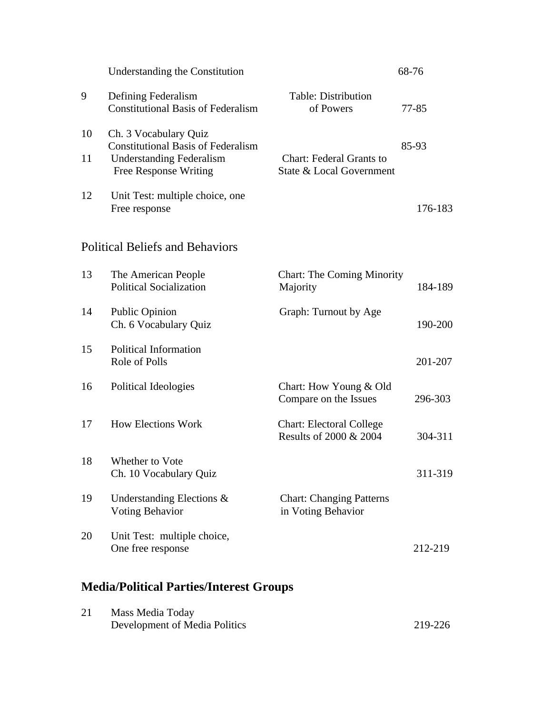|                                                | <b>Understanding the Constitution</b>                                                                                                 |                                                                        | 68-76   |
|------------------------------------------------|---------------------------------------------------------------------------------------------------------------------------------------|------------------------------------------------------------------------|---------|
| 9                                              | Defining Federalism<br><b>Constitutional Basis of Federalism</b>                                                                      | <b>Table: Distribution</b><br>of Powers                                | 77-85   |
| 10<br>11                                       | Ch. 3 Vocabulary Quiz<br><b>Constitutional Basis of Federalism</b><br><b>Understanding Federalism</b><br><b>Free Response Writing</b> | <b>Chart: Federal Grants to</b><br><b>State &amp; Local Government</b> | 85-93   |
| 12                                             | Unit Test: multiple choice, one<br>Free response                                                                                      |                                                                        | 176-183 |
|                                                | <b>Political Beliefs and Behaviors</b>                                                                                                |                                                                        |         |
| 13                                             | The American People<br><b>Political Socialization</b>                                                                                 | <b>Chart: The Coming Minority</b><br>Majority                          | 184-189 |
| 14                                             | <b>Public Opinion</b><br>Ch. 6 Vocabulary Quiz                                                                                        | Graph: Turnout by Age                                                  | 190-200 |
| 15                                             | <b>Political Information</b><br>Role of Polls                                                                                         |                                                                        | 201-207 |
| 16                                             | Political Ideologies                                                                                                                  | Chart: How Young & Old<br>Compare on the Issues                        | 296-303 |
| 17                                             | <b>How Elections Work</b>                                                                                                             | <b>Chart: Electoral College</b><br>Results of 2000 & 2004              | 304-311 |
| 18                                             | Whether to Vote<br>Ch. 10 Vocabulary Quiz                                                                                             |                                                                        | 311-319 |
| 19                                             | <b>Understanding Elections &amp;</b><br><b>Voting Behavior</b>                                                                        | <b>Chart: Changing Patterns</b><br>in Voting Behavior                  |         |
| 20                                             | Unit Test: multiple choice,<br>One free response                                                                                      |                                                                        | 212-219 |
| <b>Media/Political Parties/Interest Groups</b> |                                                                                                                                       |                                                                        |         |
| 21                                             | Mass Media Today<br>Development of Media Politics                                                                                     |                                                                        | 219-226 |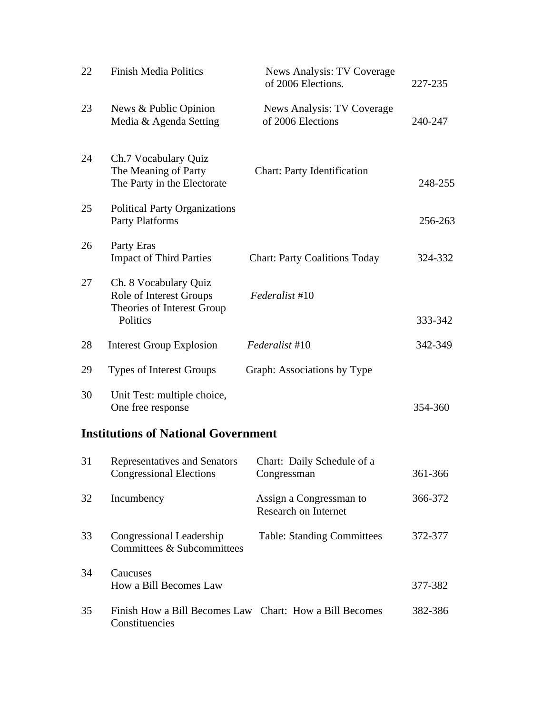| 22 | <b>Finish Media Politics</b>                                                               | News Analysis: TV Coverage<br>of 2006 Elections. | 227-235 |
|----|--------------------------------------------------------------------------------------------|--------------------------------------------------|---------|
| 23 | News & Public Opinion<br>Media & Agenda Setting                                            | News Analysis: TV Coverage<br>of 2006 Elections  | 240-247 |
| 24 | Ch.7 Vocabulary Quiz<br>The Meaning of Party<br>The Party in the Electorate                | <b>Chart: Party Identification</b>               | 248-255 |
| 25 | <b>Political Party Organizations</b><br>Party Platforms                                    |                                                  | 256-263 |
| 26 | Party Eras<br><b>Impact of Third Parties</b>                                               | <b>Chart: Party Coalitions Today</b>             | 324-332 |
| 27 | Ch. 8 Vocabulary Quiz<br>Role of Interest Groups<br>Theories of Interest Group<br>Politics | Federalist #10                                   | 333-342 |
| 28 | <b>Interest Group Explosion</b>                                                            | Federalist #10                                   | 342-349 |
| 29 | <b>Types of Interest Groups</b>                                                            | Graph: Associations by Type                      |         |
| 30 | Unit Test: multiple choice,<br>One free response                                           |                                                  | 354-360 |

## **Institutions of National Government**

| 31 | Representatives and Senators<br><b>Congressional Elections</b>            | Chart: Daily Schedule of a<br>Congressman       | 361-366 |
|----|---------------------------------------------------------------------------|-------------------------------------------------|---------|
| 32 | Incumbency                                                                | Assign a Congressman to<br>Research on Internet | 366-372 |
| 33 | Congressional Leadership<br>Committees & Subcommittees                    | <b>Table: Standing Committees</b>               | 372-377 |
| 34 | Caucuses<br>How a Bill Becomes Law                                        |                                                 | 377-382 |
| 35 | Finish How a Bill Becomes Law Chart: How a Bill Becomes<br>Constituencies |                                                 | 382-386 |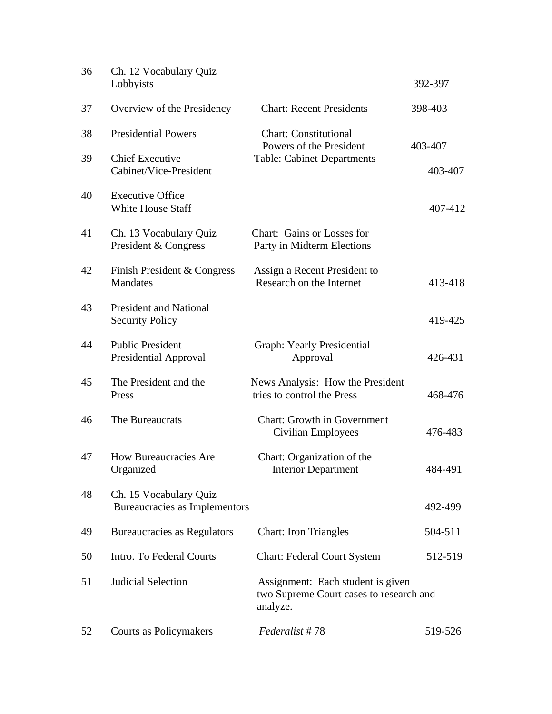| 36 | Ch. 12 Vocabulary Quiz<br>Lobbyists                     |                                                                                          | 392-397            |
|----|---------------------------------------------------------|------------------------------------------------------------------------------------------|--------------------|
| 37 | Overview of the Presidency                              | <b>Chart: Recent Presidents</b>                                                          | 398-403            |
| 38 | <b>Presidential Powers</b>                              | <b>Chart: Constitutional</b><br>Powers of the President                                  |                    |
| 39 | <b>Chief Executive</b><br>Cabinet/Vice-President        | <b>Table: Cabinet Departments</b>                                                        | 403-407<br>403-407 |
| 40 | <b>Executive Office</b><br><b>White House Staff</b>     |                                                                                          | 407-412            |
| 41 | Ch. 13 Vocabulary Quiz<br>President & Congress          | Chart: Gains or Losses for<br>Party in Midterm Elections                                 |                    |
| 42 | Finish President & Congress<br><b>Mandates</b>          | Assign a Recent President to<br>Research on the Internet                                 | 413-418            |
| 43 | <b>President and National</b><br><b>Security Policy</b> |                                                                                          | 419-425            |
| 44 | <b>Public President</b><br>Presidential Approval        | <b>Graph: Yearly Presidential</b><br>Approval                                            | 426-431            |
| 45 | The President and the<br>Press                          | News Analysis: How the President<br>tries to control the Press                           | 468-476            |
| 46 | The Bureaucrats                                         | <b>Chart: Growth in Government</b><br>Civilian Employees                                 | 476-483            |
| 47 | <b>How Bureaucracies Are</b><br>Organized               | Chart: Organization of the<br><b>Interior Department</b>                                 | 484-491            |
| 48 | Ch. 15 Vocabulary Quiz<br>Bureaucracies as Implementors |                                                                                          | 492-499            |
| 49 | <b>Bureaucracies as Regulators</b>                      | <b>Chart: Iron Triangles</b>                                                             | 504-511            |
| 50 | Intro. To Federal Courts                                | <b>Chart: Federal Court System</b>                                                       | 512-519            |
| 51 | Judicial Selection                                      | Assignment: Each student is given<br>two Supreme Court cases to research and<br>analyze. |                    |
| 52 | Courts as Policymakers                                  | Federalist #78                                                                           | 519-526            |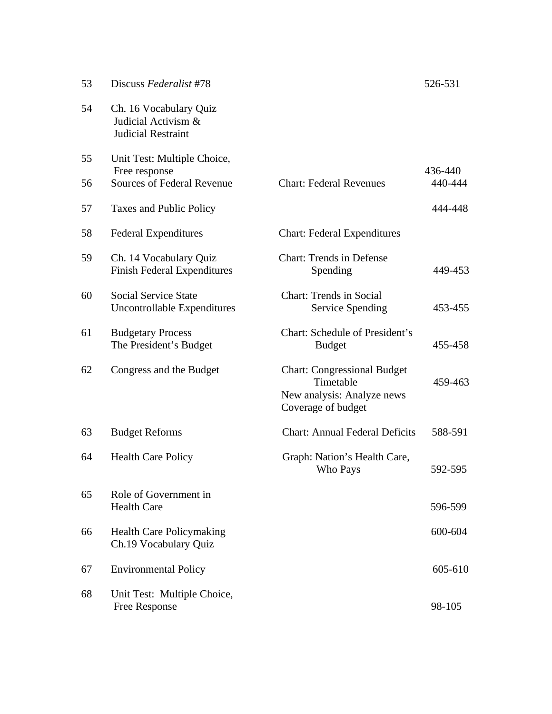| 53 | Discuss Federalist #78                                              |                                                                                                     | 526-531 |
|----|---------------------------------------------------------------------|-----------------------------------------------------------------------------------------------------|---------|
| 54 | Ch. 16 Vocabulary Quiz<br>Judicial Activism &<br>Judicial Restraint |                                                                                                     |         |
| 55 | Unit Test: Multiple Choice,<br>Free response                        |                                                                                                     | 436-440 |
| 56 | <b>Sources of Federal Revenue</b>                                   | <b>Chart: Federal Revenues</b>                                                                      | 440-444 |
| 57 | Taxes and Public Policy                                             |                                                                                                     | 444-448 |
| 58 | <b>Federal Expenditures</b>                                         | <b>Chart: Federal Expenditures</b>                                                                  |         |
| 59 | Ch. 14 Vocabulary Quiz<br><b>Finish Federal Expenditures</b>        | <b>Chart: Trends in Defense</b><br>Spending                                                         | 449-453 |
| 60 | <b>Social Service State</b><br><b>Uncontrollable Expenditures</b>   | <b>Chart: Trends in Social</b><br><b>Service Spending</b>                                           | 453-455 |
| 61 | <b>Budgetary Process</b><br>The President's Budget                  | Chart: Schedule of President's<br><b>Budget</b>                                                     | 455-458 |
| 62 | Congress and the Budget                                             | <b>Chart: Congressional Budget</b><br>Timetable<br>New analysis: Analyze news<br>Coverage of budget | 459-463 |
| 63 | <b>Budget Reforms</b>                                               | <b>Chart: Annual Federal Deficits</b>                                                               | 588-591 |
| 64 | <b>Health Care Policy</b>                                           | Graph: Nation's Health Care,<br>Who Pays                                                            | 592-595 |
| 65 | Role of Government in<br><b>Health Care</b>                         |                                                                                                     | 596-599 |
| 66 | <b>Health Care Policymaking</b><br>Ch.19 Vocabulary Quiz            |                                                                                                     | 600-604 |
| 67 | <b>Environmental Policy</b>                                         |                                                                                                     | 605-610 |
| 68 | Unit Test: Multiple Choice,<br>Free Response                        |                                                                                                     | 98-105  |